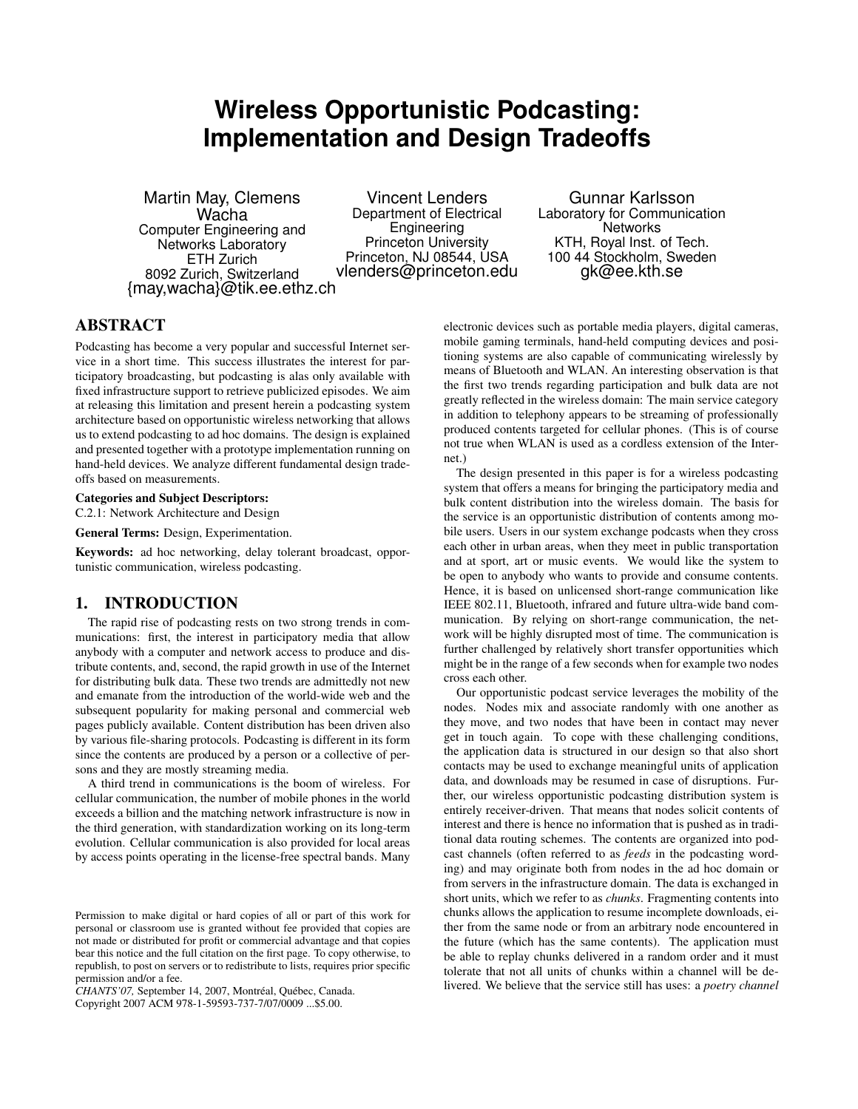# **Wireless Opportunistic Podcasting: Implementation and Design Tradeoffs**

Martin May, Clemens Wacha Computer Engineering and Networks Laboratory ETH Zurich 8092 Zurich, Switzerland {may,wacha}@tik.ee.ethz.ch

Vincent Lenders Department of Electrical Engineering Princeton University Princeton, NJ 08544, USA vlenders@princeton.edu

Gunnar Karlsson Laboratory for Communication **Networks** KTH, Royal Inst. of Tech. 100 44 Stockholm, Sweden gk@ee.kth.se

# ABSTRACT

Podcasting has become a very popular and successful Internet service in a short time. This success illustrates the interest for participatory broadcasting, but podcasting is alas only available with fixed infrastructure support to retrieve publicized episodes. We aim at releasing this limitation and present herein a podcasting system architecture based on opportunistic wireless networking that allows us to extend podcasting to ad hoc domains. The design is explained and presented together with a prototype implementation running on hand-held devices. We analyze different fundamental design tradeoffs based on measurements.

#### Categories and Subject Descriptors:

C.2.1: Network Architecture and Design

General Terms: Design, Experimentation.

Keywords: ad hoc networking, delay tolerant broadcast, opportunistic communication, wireless podcasting.

# 1. INTRODUCTION

The rapid rise of podcasting rests on two strong trends in communications: first, the interest in participatory media that allow anybody with a computer and network access to produce and distribute contents, and, second, the rapid growth in use of the Internet for distributing bulk data. These two trends are admittedly not new and emanate from the introduction of the world-wide web and the subsequent popularity for making personal and commercial web pages publicly available. Content distribution has been driven also by various file-sharing protocols. Podcasting is different in its form since the contents are produced by a person or a collective of persons and they are mostly streaming media.

A third trend in communications is the boom of wireless. For cellular communication, the number of mobile phones in the world exceeds a billion and the matching network infrastructure is now in the third generation, with standardization working on its long-term evolution. Cellular communication is also provided for local areas by access points operating in the license-free spectral bands. Many

*CHANTS'07,* September 14, 2007, Montréal, Québec, Canada.

Copyright 2007 ACM 978-1-59593-737-7/07/0009 ...\$5.00.

electronic devices such as portable media players, digital cameras, mobile gaming terminals, hand-held computing devices and positioning systems are also capable of communicating wirelessly by means of Bluetooth and WLAN. An interesting observation is that the first two trends regarding participation and bulk data are not greatly reflected in the wireless domain: The main service category in addition to telephony appears to be streaming of professionally produced contents targeted for cellular phones. (This is of course not true when WLAN is used as a cordless extension of the Internet.)

The design presented in this paper is for a wireless podcasting system that offers a means for bringing the participatory media and bulk content distribution into the wireless domain. The basis for the service is an opportunistic distribution of contents among mobile users. Users in our system exchange podcasts when they cross each other in urban areas, when they meet in public transportation and at sport, art or music events. We would like the system to be open to anybody who wants to provide and consume contents. Hence, it is based on unlicensed short-range communication like IEEE 802.11, Bluetooth, infrared and future ultra-wide band communication. By relying on short-range communication, the network will be highly disrupted most of time. The communication is further challenged by relatively short transfer opportunities which might be in the range of a few seconds when for example two nodes cross each other.

Our opportunistic podcast service leverages the mobility of the nodes. Nodes mix and associate randomly with one another as they move, and two nodes that have been in contact may never get in touch again. To cope with these challenging conditions, the application data is structured in our design so that also short contacts may be used to exchange meaningful units of application data, and downloads may be resumed in case of disruptions. Further, our wireless opportunistic podcasting distribution system is entirely receiver-driven. That means that nodes solicit contents of interest and there is hence no information that is pushed as in traditional data routing schemes. The contents are organized into podcast channels (often referred to as *feeds* in the podcasting wording) and may originate both from nodes in the ad hoc domain or from servers in the infrastructure domain. The data is exchanged in short units, which we refer to as *chunks*. Fragmenting contents into chunks allows the application to resume incomplete downloads, either from the same node or from an arbitrary node encountered in the future (which has the same contents). The application must be able to replay chunks delivered in a random order and it must tolerate that not all units of chunks within a channel will be delivered. We believe that the service still has uses: a *poetry channel*

Permission to make digital or hard copies of all or part of this work for personal or classroom use is granted without fee provided that copies are not made or distributed for profit or commercial advantage and that copies bear this notice and the full citation on the first page. To copy otherwise, to republish, to post on servers or to redistribute to lists, requires prior specific permission and/or a fee.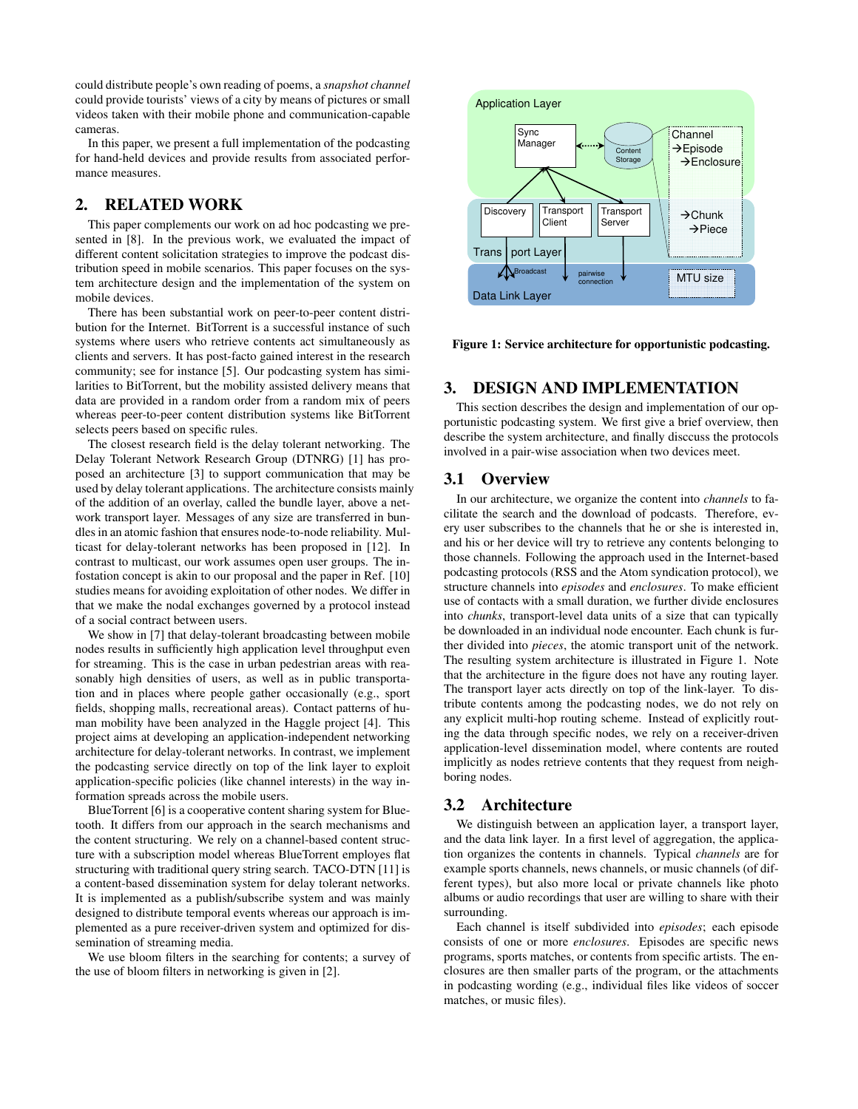could distribute people's own reading of poems, a *snapshot channel* could provide tourists' views of a city by means of pictures or small videos taken with their mobile phone and communication-capable cameras.

In this paper, we present a full implementation of the podcasting for hand-held devices and provide results from associated performance measures.

# 2. RELATED WORK

This paper complements our work on ad hoc podcasting we presented in [8]. In the previous work, we evaluated the impact of different content solicitation strategies to improve the podcast distribution speed in mobile scenarios. This paper focuses on the system architecture design and the implementation of the system on mobile devices.

There has been substantial work on peer-to-peer content distribution for the Internet. BitTorrent is a successful instance of such systems where users who retrieve contents act simultaneously as clients and servers. It has post-facto gained interest in the research community; see for instance [5]. Our podcasting system has similarities to BitTorrent, but the mobility assisted delivery means that data are provided in a random order from a random mix of peers whereas peer-to-peer content distribution systems like BitTorrent selects peers based on specific rules.

The closest research field is the delay tolerant networking. The Delay Tolerant Network Research Group (DTNRG) [1] has proposed an architecture [3] to support communication that may be used by delay tolerant applications. The architecture consists mainly of the addition of an overlay, called the bundle layer, above a network transport layer. Messages of any size are transferred in bundles in an atomic fashion that ensures node-to-node reliability. Multicast for delay-tolerant networks has been proposed in [12]. In contrast to multicast, our work assumes open user groups. The infostation concept is akin to our proposal and the paper in Ref. [10] studies means for avoiding exploitation of other nodes. We differ in that we make the nodal exchanges governed by a protocol instead of a social contract between users.

We show in [7] that delay-tolerant broadcasting between mobile nodes results in sufficiently high application level throughput even for streaming. This is the case in urban pedestrian areas with reasonably high densities of users, as well as in public transportation and in places where people gather occasionally (e.g., sport fields, shopping malls, recreational areas). Contact patterns of human mobility have been analyzed in the Haggle project [4]. This project aims at developing an application-independent networking architecture for delay-tolerant networks. In contrast, we implement the podcasting service directly on top of the link layer to exploit application-specific policies (like channel interests) in the way information spreads across the mobile users.

BlueTorrent [6] is a cooperative content sharing system for Bluetooth. It differs from our approach in the search mechanisms and the content structuring. We rely on a channel-based content structure with a subscription model whereas BlueTorrent employes flat structuring with traditional query string search. TACO-DTN [11] is a content-based dissemination system for delay tolerant networks. It is implemented as a publish/subscribe system and was mainly designed to distribute temporal events whereas our approach is implemented as a pure receiver-driven system and optimized for dissemination of streaming media.

We use bloom filters in the searching for contents; a survey of the use of bloom filters in networking is given in [2].



Figure 1: Service architecture for opportunistic podcasting.

# 3. DESIGN AND IMPLEMENTATION

This section describes the design and implementation of our opportunistic podcasting system. We first give a brief overview, then describe the system architecture, and finally disccuss the protocols involved in a pair-wise association when two devices meet.

# 3.1 Overview

In our architecture, we organize the content into *channels* to facilitate the search and the download of podcasts. Therefore, every user subscribes to the channels that he or she is interested in, and his or her device will try to retrieve any contents belonging to those channels. Following the approach used in the Internet-based podcasting protocols (RSS and the Atom syndication protocol), we structure channels into *episodes* and *enclosures*. To make efficient use of contacts with a small duration, we further divide enclosures into *chunks*, transport-level data units of a size that can typically be downloaded in an individual node encounter. Each chunk is further divided into *pieces*, the atomic transport unit of the network. The resulting system architecture is illustrated in Figure 1. Note that the architecture in the figure does not have any routing layer. The transport layer acts directly on top of the link-layer. To distribute contents among the podcasting nodes, we do not rely on any explicit multi-hop routing scheme. Instead of explicitly routing the data through specific nodes, we rely on a receiver-driven application-level dissemination model, where contents are routed implicitly as nodes retrieve contents that they request from neighboring nodes.

# 3.2 Architecture

We distinguish between an application layer, a transport layer, and the data link layer. In a first level of aggregation, the application organizes the contents in channels. Typical *channels* are for example sports channels, news channels, or music channels (of different types), but also more local or private channels like photo albums or audio recordings that user are willing to share with their surrounding.

Each channel is itself subdivided into *episodes*; each episode consists of one or more *enclosures*. Episodes are specific news programs, sports matches, or contents from specific artists. The enclosures are then smaller parts of the program, or the attachments in podcasting wording (e.g., individual files like videos of soccer matches, or music files).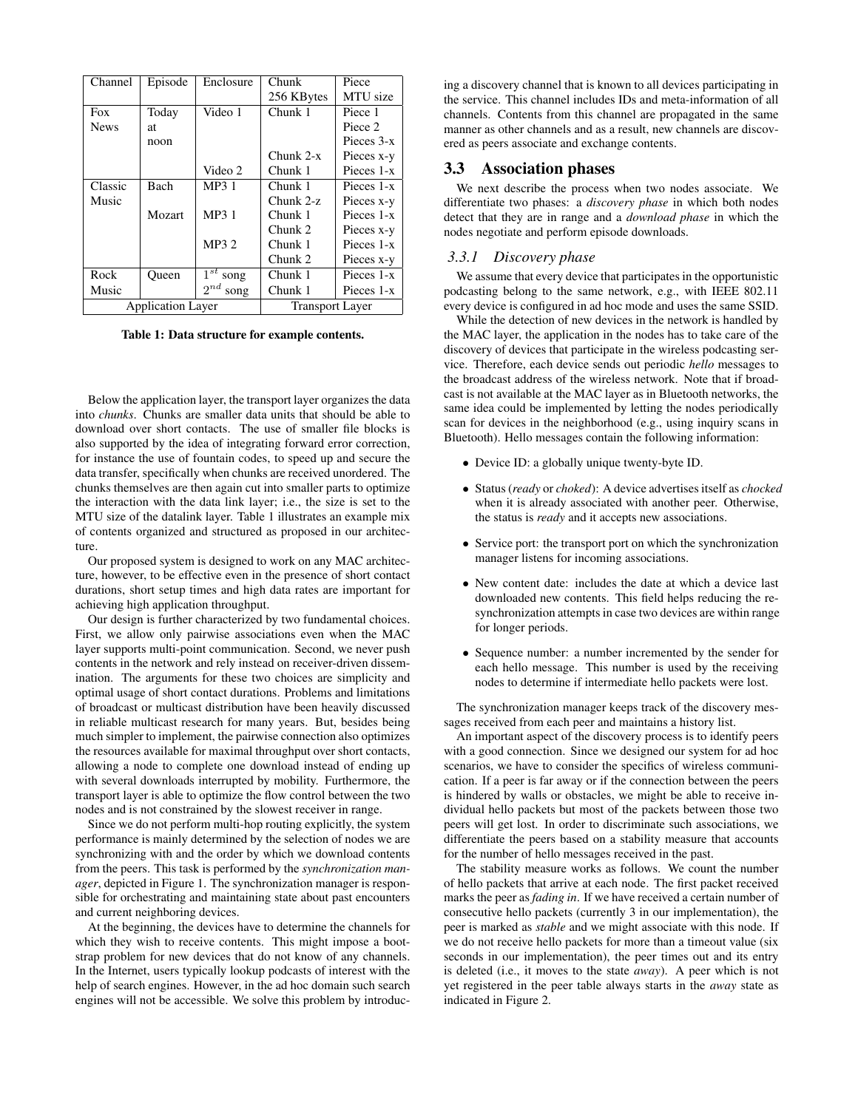| Channel                  | Episode | Enclosure        | Chunk                  | Piece      |
|--------------------------|---------|------------------|------------------------|------------|
|                          |         |                  | 256 KBytes             | MTU size   |
| <b>Fox</b>               | Today   | Video 1          | Chunk 1                | Piece 1    |
| <b>News</b>              | at      |                  |                        | Piece 2    |
|                          | noon    |                  |                        | Pieces 3-x |
|                          |         |                  | $Chunk$ 2- $x$         | Pieces x-y |
|                          |         | Video 2          | Chunk 1                | Pieces 1-x |
| Classic                  | Bach    | MP3 1            | Chunk 1                | Pieces 1-x |
| Music                    |         |                  | Chunk 2-z              | Pieces x-y |
|                          | Mozart  | MP3 1            | Chunk 1                | Pieces 1-x |
|                          |         |                  | Chunk 2                | Pieces x-y |
|                          |         | MP32             | Chunk 1                | Pieces 1-x |
|                          |         |                  | Chunk 2                | Pieces x-y |
| Rock                     | Oueen   | $1^{st}$<br>song | Chunk 1                | Pieces 1-x |
| Music                    |         | $2^{nd}$<br>song | Chunk 1                | Pieces 1-x |
| <b>Application Layer</b> |         |                  | <b>Transport Layer</b> |            |

Table 1: Data structure for example contents.

Below the application layer, the transport layer organizes the data into *chunks*. Chunks are smaller data units that should be able to download over short contacts. The use of smaller file blocks is also supported by the idea of integrating forward error correction, for instance the use of fountain codes, to speed up and secure the data transfer, specifically when chunks are received unordered. The chunks themselves are then again cut into smaller parts to optimize the interaction with the data link layer; i.e., the size is set to the MTU size of the datalink layer. Table 1 illustrates an example mix of contents organized and structured as proposed in our architecture.

Our proposed system is designed to work on any MAC architecture, however, to be effective even in the presence of short contact durations, short setup times and high data rates are important for achieving high application throughput.

Our design is further characterized by two fundamental choices. First, we allow only pairwise associations even when the MAC layer supports multi-point communication. Second, we never push contents in the network and rely instead on receiver-driven dissemination. The arguments for these two choices are simplicity and optimal usage of short contact durations. Problems and limitations of broadcast or multicast distribution have been heavily discussed in reliable multicast research for many years. But, besides being much simpler to implement, the pairwise connection also optimizes the resources available for maximal throughput over short contacts, allowing a node to complete one download instead of ending up with several downloads interrupted by mobility. Furthermore, the transport layer is able to optimize the flow control between the two nodes and is not constrained by the slowest receiver in range.

Since we do not perform multi-hop routing explicitly, the system performance is mainly determined by the selection of nodes we are synchronizing with and the order by which we download contents from the peers. This task is performed by the *synchronization manager*, depicted in Figure 1. The synchronization manager is responsible for orchestrating and maintaining state about past encounters and current neighboring devices.

At the beginning, the devices have to determine the channels for which they wish to receive contents. This might impose a bootstrap problem for new devices that do not know of any channels. In the Internet, users typically lookup podcasts of interest with the help of search engines. However, in the ad hoc domain such search engines will not be accessible. We solve this problem by introducing a discovery channel that is known to all devices participating in the service. This channel includes IDs and meta-information of all channels. Contents from this channel are propagated in the same manner as other channels and as a result, new channels are discovered as peers associate and exchange contents.

# 3.3 Association phases

We next describe the process when two nodes associate. We differentiate two phases: a *discovery phase* in which both nodes detect that they are in range and a *download phase* in which the nodes negotiate and perform episode downloads.

#### *3.3.1 Discovery phase*

We assume that every device that participates in the opportunistic podcasting belong to the same network, e.g., with IEEE 802.11 every device is configured in ad hoc mode and uses the same SSID.

While the detection of new devices in the network is handled by the MAC layer, the application in the nodes has to take care of the discovery of devices that participate in the wireless podcasting service. Therefore, each device sends out periodic *hello* messages to the broadcast address of the wireless network. Note that if broadcast is not available at the MAC layer as in Bluetooth networks, the same idea could be implemented by letting the nodes periodically scan for devices in the neighborhood (e.g., using inquiry scans in Bluetooth). Hello messages contain the following information:

- Device ID: a globally unique twenty-byte ID.
- Status (*ready* or *choked*): A device advertises itself as *chocked* when it is already associated with another peer. Otherwise, the status is *ready* and it accepts new associations.
- Service port: the transport port on which the synchronization manager listens for incoming associations.
- New content date: includes the date at which a device last downloaded new contents. This field helps reducing the resynchronization attempts in case two devices are within range for longer periods.
- Sequence number: a number incremented by the sender for each hello message. This number is used by the receiving nodes to determine if intermediate hello packets were lost.

The synchronization manager keeps track of the discovery messages received from each peer and maintains a history list.

An important aspect of the discovery process is to identify peers with a good connection. Since we designed our system for ad hoc scenarios, we have to consider the specifics of wireless communication. If a peer is far away or if the connection between the peers is hindered by walls or obstacles, we might be able to receive individual hello packets but most of the packets between those two peers will get lost. In order to discriminate such associations, we differentiate the peers based on a stability measure that accounts for the number of hello messages received in the past.

The stability measure works as follows. We count the number of hello packets that arrive at each node. The first packet received marks the peer as *fading in*. If we have received a certain number of consecutive hello packets (currently 3 in our implementation), the peer is marked as *stable* and we might associate with this node. If we do not receive hello packets for more than a timeout value (six seconds in our implementation), the peer times out and its entry is deleted (i.e., it moves to the state *away*). A peer which is not yet registered in the peer table always starts in the *away* state as indicated in Figure 2.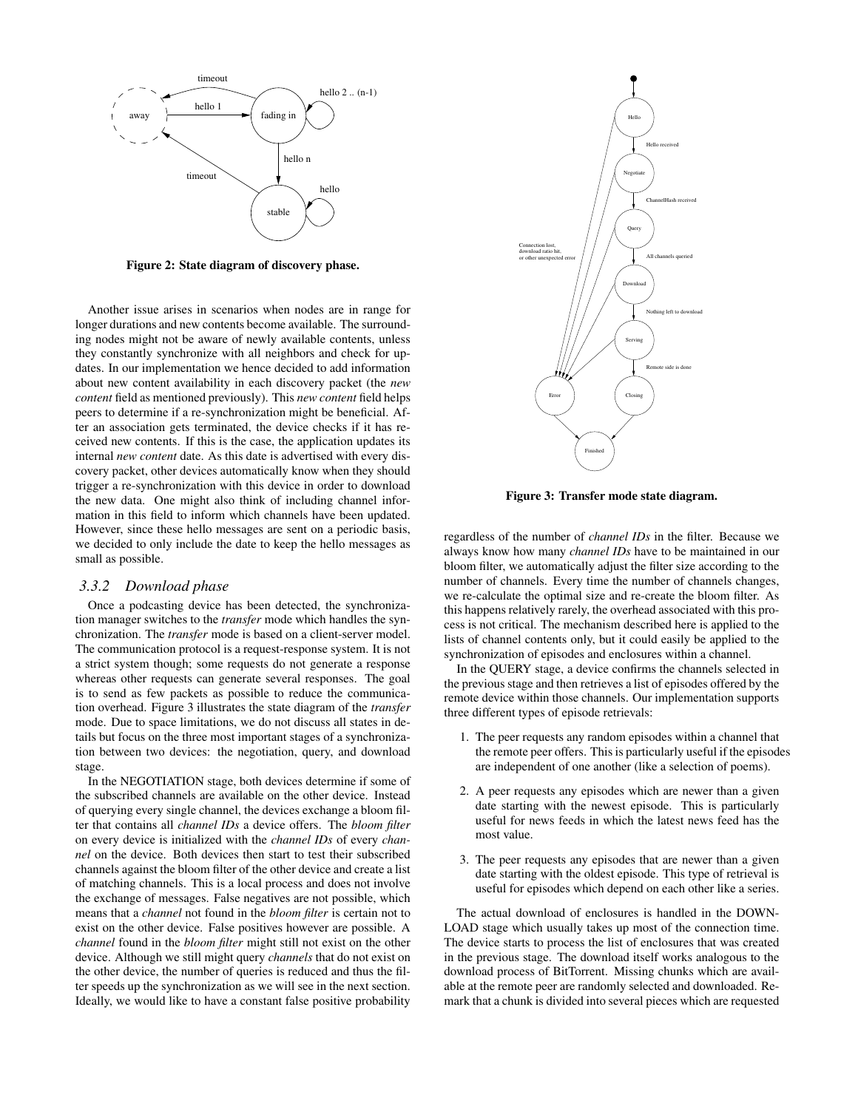

Figure 2: State diagram of discovery phase.

Another issue arises in scenarios when nodes are in range for longer durations and new contents become available. The surrounding nodes might not be aware of newly available contents, unless they constantly synchronize with all neighbors and check for updates. In our implementation we hence decided to add information about new content availability in each discovery packet (the *new content* field as mentioned previously). This *new content* field helps peers to determine if a re-synchronization might be beneficial. After an association gets terminated, the device checks if it has received new contents. If this is the case, the application updates its internal *new content* date. As this date is advertised with every discovery packet, other devices automatically know when they should trigger a re-synchronization with this device in order to download the new data. One might also think of including channel information in this field to inform which channels have been updated. However, since these hello messages are sent on a periodic basis, we decided to only include the date to keep the hello messages as small as possible.

#### *3.3.2 Download phase*

Once a podcasting device has been detected, the synchronization manager switches to the *transfer* mode which handles the synchronization. The *transfer* mode is based on a client-server model. The communication protocol is a request-response system. It is not a strict system though; some requests do not generate a response whereas other requests can generate several responses. The goal is to send as few packets as possible to reduce the communication overhead. Figure 3 illustrates the state diagram of the *transfer* mode. Due to space limitations, we do not discuss all states in details but focus on the three most important stages of a synchronization between two devices: the negotiation, query, and download stage.

In the NEGOTIATION stage, both devices determine if some of the subscribed channels are available on the other device. Instead of querying every single channel, the devices exchange a bloom filter that contains all *channel IDs* a device offers. The *bloom filter* on every device is initialized with the *channel IDs* of every *channel* on the device. Both devices then start to test their subscribed channels against the bloom filter of the other device and create a list of matching channels. This is a local process and does not involve the exchange of messages. False negatives are not possible, which means that a *channel* not found in the *bloom filter* is certain not to exist on the other device. False positives however are possible. A *channel* found in the *bloom filter* might still not exist on the other device. Although we still might query *channels* that do not exist on the other device, the number of queries is reduced and thus the filter speeds up the synchronization as we will see in the next section. Ideally, we would like to have a constant false positive probability



Figure 3: Transfer mode state diagram.

regardless of the number of *channel IDs* in the filter. Because we always know how many *channel IDs* have to be maintained in our bloom filter, we automatically adjust the filter size according to the number of channels. Every time the number of channels changes, we re-calculate the optimal size and re-create the bloom filter. As this happens relatively rarely, the overhead associated with this process is not critical. The mechanism described here is applied to the lists of channel contents only, but it could easily be applied to the synchronization of episodes and enclosures within a channel.

In the QUERY stage, a device confirms the channels selected in the previous stage and then retrieves a list of episodes offered by the remote device within those channels. Our implementation supports three different types of episode retrievals:

- 1. The peer requests any random episodes within a channel that the remote peer offers. This is particularly useful if the episodes are independent of one another (like a selection of poems).
- 2. A peer requests any episodes which are newer than a given date starting with the newest episode. This is particularly useful for news feeds in which the latest news feed has the most value.
- 3. The peer requests any episodes that are newer than a given date starting with the oldest episode. This type of retrieval is useful for episodes which depend on each other like a series.

The actual download of enclosures is handled in the DOWN-LOAD stage which usually takes up most of the connection time. The device starts to process the list of enclosures that was created in the previous stage. The download itself works analogous to the download process of BitTorrent. Missing chunks which are available at the remote peer are randomly selected and downloaded. Remark that a chunk is divided into several pieces which are requested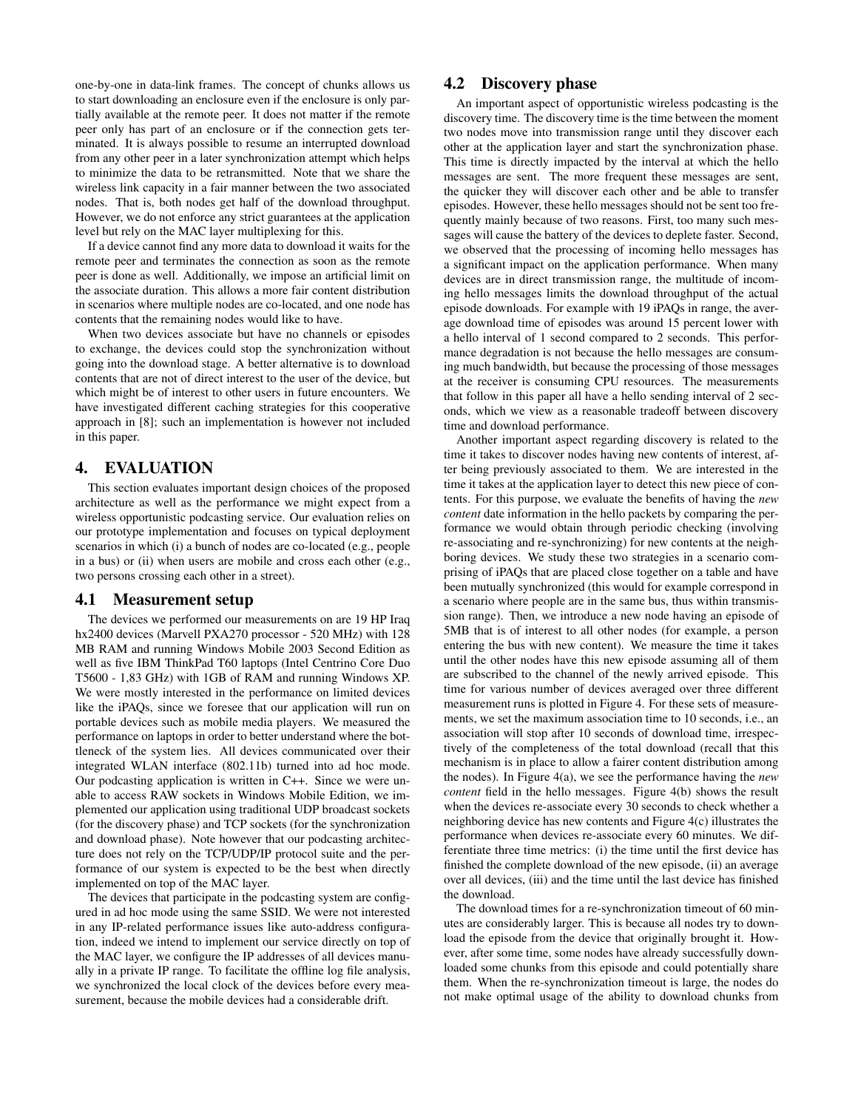one-by-one in data-link frames. The concept of chunks allows us to start downloading an enclosure even if the enclosure is only partially available at the remote peer. It does not matter if the remote peer only has part of an enclosure or if the connection gets terminated. It is always possible to resume an interrupted download from any other peer in a later synchronization attempt which helps to minimize the data to be retransmitted. Note that we share the wireless link capacity in a fair manner between the two associated nodes. That is, both nodes get half of the download throughput. However, we do not enforce any strict guarantees at the application level but rely on the MAC layer multiplexing for this.

If a device cannot find any more data to download it waits for the remote peer and terminates the connection as soon as the remote peer is done as well. Additionally, we impose an artificial limit on the associate duration. This allows a more fair content distribution in scenarios where multiple nodes are co-located, and one node has contents that the remaining nodes would like to have.

When two devices associate but have no channels or episodes to exchange, the devices could stop the synchronization without going into the download stage. A better alternative is to download contents that are not of direct interest to the user of the device, but which might be of interest to other users in future encounters. We have investigated different caching strategies for this cooperative approach in [8]; such an implementation is however not included in this paper.

### 4. EVALUATION

This section evaluates important design choices of the proposed architecture as well as the performance we might expect from a wireless opportunistic podcasting service. Our evaluation relies on our prototype implementation and focuses on typical deployment scenarios in which (i) a bunch of nodes are co-located (e.g., people in a bus) or (ii) when users are mobile and cross each other (e.g., two persons crossing each other in a street).

#### 4.1 Measurement setup

The devices we performed our measurements on are 19 HP Iraq hx2400 devices (Marvell PXA270 processor - 520 MHz) with 128 MB RAM and running Windows Mobile 2003 Second Edition as well as five IBM ThinkPad T60 laptops (Intel Centrino Core Duo T5600 - 1,83 GHz) with 1GB of RAM and running Windows XP. We were mostly interested in the performance on limited devices like the iPAQs, since we foresee that our application will run on portable devices such as mobile media players. We measured the performance on laptops in order to better understand where the bottleneck of the system lies. All devices communicated over their integrated WLAN interface (802.11b) turned into ad hoc mode. Our podcasting application is written in C++. Since we were unable to access RAW sockets in Windows Mobile Edition, we implemented our application using traditional UDP broadcast sockets (for the discovery phase) and TCP sockets (for the synchronization and download phase). Note however that our podcasting architecture does not rely on the TCP/UDP/IP protocol suite and the performance of our system is expected to be the best when directly implemented on top of the MAC layer.

The devices that participate in the podcasting system are configured in ad hoc mode using the same SSID. We were not interested in any IP-related performance issues like auto-address configuration, indeed we intend to implement our service directly on top of the MAC layer, we configure the IP addresses of all devices manually in a private IP range. To facilitate the offline log file analysis, we synchronized the local clock of the devices before every measurement, because the mobile devices had a considerable drift.

### 4.2 Discovery phase

An important aspect of opportunistic wireless podcasting is the discovery time. The discovery time is the time between the moment two nodes move into transmission range until they discover each other at the application layer and start the synchronization phase. This time is directly impacted by the interval at which the hello messages are sent. The more frequent these messages are sent, the quicker they will discover each other and be able to transfer episodes. However, these hello messages should not be sent too frequently mainly because of two reasons. First, too many such messages will cause the battery of the devices to deplete faster. Second, we observed that the processing of incoming hello messages has a significant impact on the application performance. When many devices are in direct transmission range, the multitude of incoming hello messages limits the download throughput of the actual episode downloads. For example with 19 iPAQs in range, the average download time of episodes was around 15 percent lower with a hello interval of 1 second compared to 2 seconds. This performance degradation is not because the hello messages are consuming much bandwidth, but because the processing of those messages at the receiver is consuming CPU resources. The measurements that follow in this paper all have a hello sending interval of 2 seconds, which we view as a reasonable tradeoff between discovery time and download performance.

Another important aspect regarding discovery is related to the time it takes to discover nodes having new contents of interest, after being previously associated to them. We are interested in the time it takes at the application layer to detect this new piece of contents. For this purpose, we evaluate the benefits of having the *new content* date information in the hello packets by comparing the performance we would obtain through periodic checking (involving re-associating and re-synchronizing) for new contents at the neighboring devices. We study these two strategies in a scenario comprising of iPAQs that are placed close together on a table and have been mutually synchronized (this would for example correspond in a scenario where people are in the same bus, thus within transmission range). Then, we introduce a new node having an episode of 5MB that is of interest to all other nodes (for example, a person entering the bus with new content). We measure the time it takes until the other nodes have this new episode assuming all of them are subscribed to the channel of the newly arrived episode. This time for various number of devices averaged over three different measurement runs is plotted in Figure 4. For these sets of measurements, we set the maximum association time to 10 seconds, i.e., an association will stop after 10 seconds of download time, irrespectively of the completeness of the total download (recall that this mechanism is in place to allow a fairer content distribution among the nodes). In Figure 4(a), we see the performance having the *new content* field in the hello messages. Figure 4(b) shows the result when the devices re-associate every 30 seconds to check whether a neighboring device has new contents and Figure 4(c) illustrates the performance when devices re-associate every 60 minutes. We differentiate three time metrics: (i) the time until the first device has finished the complete download of the new episode, (ii) an average over all devices, (iii) and the time until the last device has finished the download.

The download times for a re-synchronization timeout of 60 minutes are considerably larger. This is because all nodes try to download the episode from the device that originally brought it. However, after some time, some nodes have already successfully downloaded some chunks from this episode and could potentially share them. When the re-synchronization timeout is large, the nodes do not make optimal usage of the ability to download chunks from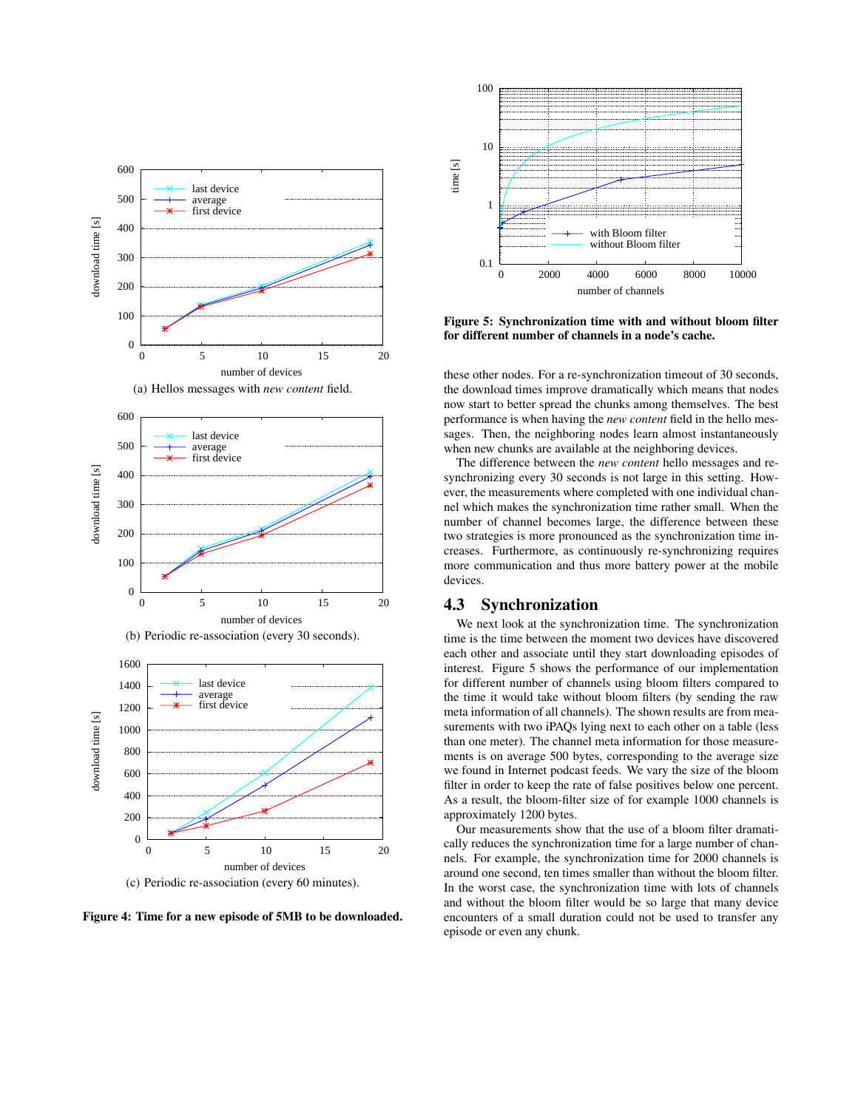

(c) Periodic re-association (every 60 minutes).

Figure 4: Time for a new episode of 5MB to be downloaded.



Figure 5: Synchronization time with and without bloom filter for different number of channels in a node's cache.

these other nodes. For a re-synchronization timeout of 30 seconds, the download times improve dramatically which means that nodes now start to better spread the chunks among themselves. The best performance is when having the *new content* field in the hello messages. Then, the neighboring nodes learn almost instantaneously when new chunks are available at the neighboring devices.

The difference between the *new content* hello messages and resynchronizing every 30 seconds is not large in this setting. However, the measurements where completed with one individual channel which makes the synchronization time rather small. When the number of channel becomes large, the difference between these two strategies is more pronounced as the synchronization time increases. Furthermore, as continuously re-synchronizing requires more communication and thus more battery power at the mobile devices.

### 4.3 Synchronization

We next look at the synchronization time. The synchronization time is the time between the moment two devices have discovered each other and associate until they start downloading episodes of interest. Figure 5 shows the performance of our implementation for different number of channels using bloom filters compared to the time it would take without bloom filters (by sending the raw meta information of all channels). The shown results are from measurements with two iPAQs lying next to each other on a table (less than one meter). The channel meta information for those measurements is on average 500 bytes, corresponding to the average size we found in Internet podcast feeds. We vary the size of the bloom filter in order to keep the rate of false positives below one percent. As a result, the bloom-filter size of for example 1000 channels is approximately 1200 bytes.

Our measurements show that the use of a bloom filter dramatically reduces the synchronization time for a large number of channels. For example, the synchronization time for 2000 channels is around one second, ten times smaller than without the bloom filter. In the worst case, the synchronization time with lots of channels and without the bloom filter would be so large that many device encounters of a small duration could not be used to transfer any episode or even any chunk.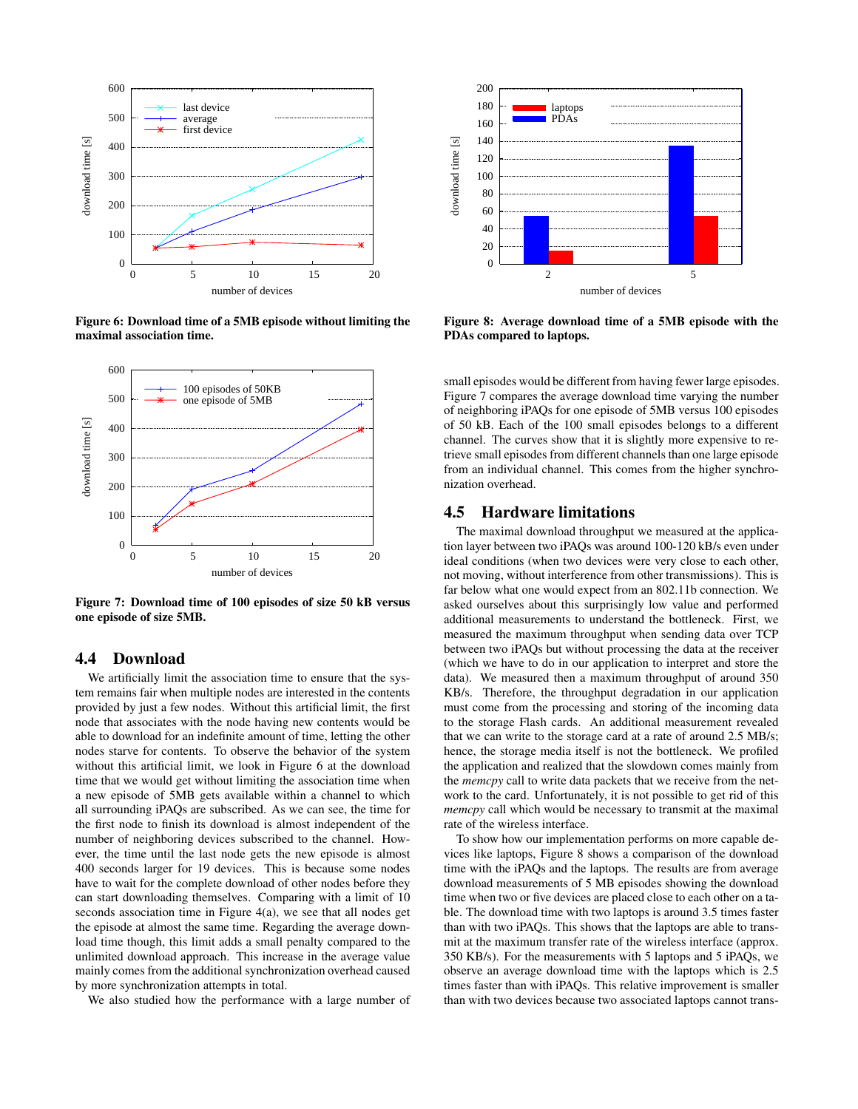

Figure 6: Download time of a 5MB episode without limiting the maximal association time.



Figure 7: Download time of 100 episodes of size 50 kB versus one episode of size 5MB.

### 4.4 Download

We artificially limit the association time to ensure that the system remains fair when multiple nodes are interested in the contents provided by just a few nodes. Without this artificial limit, the first node that associates with the node having new contents would be able to download for an indefinite amount of time, letting the other nodes starve for contents. To observe the behavior of the system without this artificial limit, we look in Figure 6 at the download time that we would get without limiting the association time when a new episode of 5MB gets available within a channel to which all surrounding iPAQs are subscribed. As we can see, the time for the first node to finish its download is almost independent of the number of neighboring devices subscribed to the channel. However, the time until the last node gets the new episode is almost 400 seconds larger for 19 devices. This is because some nodes have to wait for the complete download of other nodes before they can start downloading themselves. Comparing with a limit of 10 seconds association time in Figure 4(a), we see that all nodes get the episode at almost the same time. Regarding the average download time though, this limit adds a small penalty compared to the unlimited download approach. This increase in the average value mainly comes from the additional synchronization overhead caused by more synchronization attempts in total.

We also studied how the performance with a large number of



Figure 8: Average download time of a 5MB episode with the PDAs compared to laptops.

small episodes would be different from having fewer large episodes. Figure 7 compares the average download time varying the number of neighboring iPAQs for one episode of 5MB versus 100 episodes of 50 kB. Each of the 100 small episodes belongs to a different channel. The curves show that it is slightly more expensive to retrieve small episodes from different channels than one large episode from an individual channel. This comes from the higher synchronization overhead.

### 4.5 Hardware limitations

The maximal download throughput we measured at the application layer between two iPAQs was around 100-120 kB/s even under ideal conditions (when two devices were very close to each other, not moving, without interference from other transmissions). This is far below what one would expect from an 802.11b connection. We asked ourselves about this surprisingly low value and performed additional measurements to understand the bottleneck. First, we measured the maximum throughput when sending data over TCP between two iPAQs but without processing the data at the receiver (which we have to do in our application to interpret and store the data). We measured then a maximum throughput of around 350 KB/s. Therefore, the throughput degradation in our application must come from the processing and storing of the incoming data to the storage Flash cards. An additional measurement revealed that we can write to the storage card at a rate of around 2.5 MB/s; hence, the storage media itself is not the bottleneck. We profiled the application and realized that the slowdown comes mainly from the *memcpy* call to write data packets that we receive from the network to the card. Unfortunately, it is not possible to get rid of this *memcpy* call which would be necessary to transmit at the maximal rate of the wireless interface.

To show how our implementation performs on more capable devices like laptops, Figure 8 shows a comparison of the download time with the iPAQs and the laptops. The results are from average download measurements of 5 MB episodes showing the download time when two or five devices are placed close to each other on a table. The download time with two laptops is around 3.5 times faster than with two iPAQs. This shows that the laptops are able to transmit at the maximum transfer rate of the wireless interface (approx. 350 KB/s). For the measurements with 5 laptops and 5 iPAQs, we observe an average download time with the laptops which is 2.5 times faster than with iPAQs. This relative improvement is smaller than with two devices because two associated laptops cannot trans-